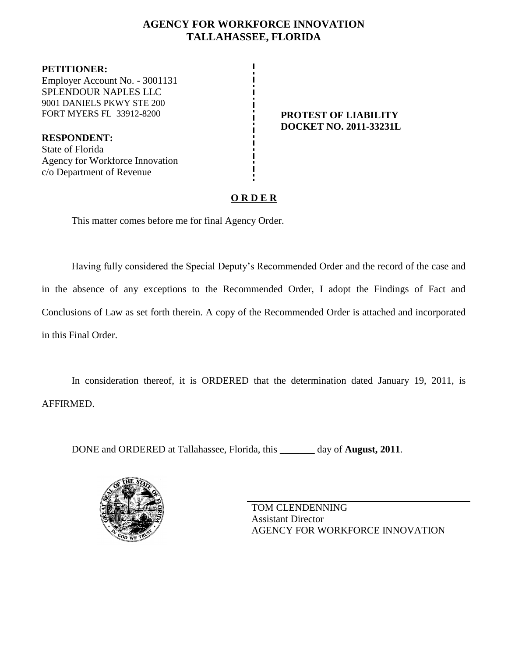# **AGENCY FOR WORKFORCE INNOVATION TALLAHASSEE, FLORIDA**

**PETITIONER:** Employer Account No. - 3001131 SPLENDOUR NAPLES LLC 9001 DANIELS PKWY STE 200 FORT MYERS FL 33912-8200 **PROTEST OF LIABILITY** 

**RESPONDENT:** State of Florida Agency for Workforce Innovation c/o Department of Revenue

# **DOCKET NO. 2011-33231L**

# **O R D E R**

This matter comes before me for final Agency Order.

Having fully considered the Special Deputy's Recommended Order and the record of the case and in the absence of any exceptions to the Recommended Order, I adopt the Findings of Fact and Conclusions of Law as set forth therein. A copy of the Recommended Order is attached and incorporated in this Final Order.

In consideration thereof, it is ORDERED that the determination dated January 19, 2011, is AFFIRMED.

DONE and ORDERED at Tallahassee, Florida, this **\_\_\_\_\_\_\_** day of **August, 2011**.



TOM CLENDENNING Assistant Director AGENCY FOR WORKFORCE INNOVATION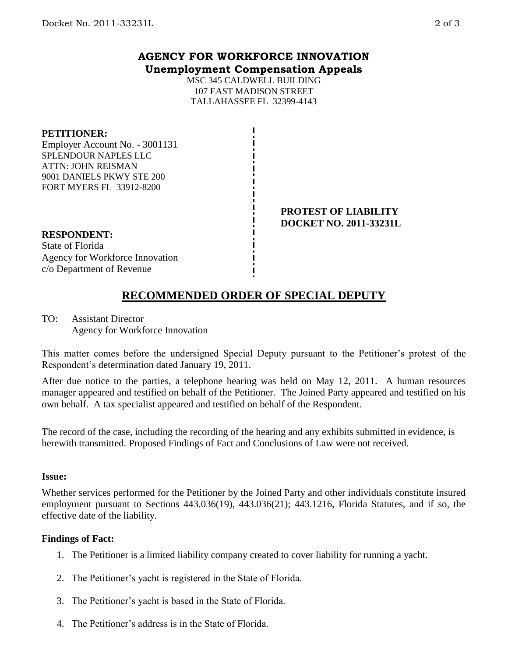## **AGENCY FOR WORKFORCE INNOVATION Unemployment Compensation Appeals**

MSC 345 CALDWELL BUILDING 107 EAST MADISON STREET TALLAHASSEE FL 32399-4143

#### **PETITIONER:**

Employer Account No. - 3001131 SPLENDOUR NAPLES LLC ATTN: JOHN REISMAN 9001 DANIELS PKWY STE 200 FORT MYERS FL 33912-8200

#### **PROTEST OF LIABILITY DOCKET NO. 2011-33231L**

**RESPONDENT:**

State of Florida Agency for Workforce Innovation c/o Department of Revenue

# **RECOMMENDED ORDER OF SPECIAL DEPUTY**

TO: Assistant Director Agency for Workforce Innovation

This matter comes before the undersigned Special Deputy pursuant to the Petitioner's protest of the Respondent's determination dated January 19, 2011.

After due notice to the parties, a telephone hearing was held on May 12, 2011. A human resources manager appeared and testified on behalf of the Petitioner. The Joined Party appeared and testified on his own behalf. A tax specialist appeared and testified on behalf of the Respondent.

The record of the case, including the recording of the hearing and any exhibits submitted in evidence, is herewith transmitted. Proposed Findings of Fact and Conclusions of Law were not received.

#### **Issue:**

Whether services performed for the Petitioner by the Joined Party and other individuals constitute insured employment pursuant to Sections 443.036(19), 443.036(21); 443.1216, Florida Statutes, and if so, the effective date of the liability.

### **Findings of Fact:**

- 1. The Petitioner is a limited liability company created to cover liability for running a yacht.
- 2. The Petitioner's yacht is registered in the State of Florida.
- 3. The Petitioner's yacht is based in the State of Florida.
- 4. The Petitioner's address is in the State of Florida.